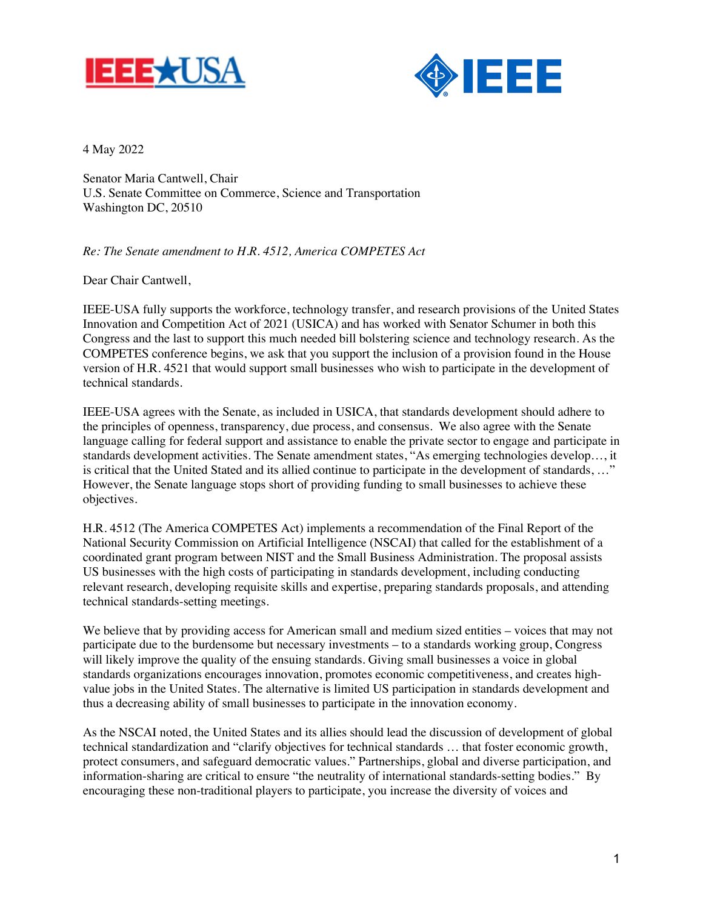



4 May 2022

Senator Maria Cantwell, Chair U.S. Senate Committee on Commerce, Science and Transportation Washington DC, 20510

*Re: The Senate amendment to H.R. 4512, America COMPETES Act*

Dear Chair Cantwell,

IEEE-USA fully supports the workforce, technology transfer, and research provisions of the United States Innovation and Competition Act of 2021 (USICA) and has worked with Senator Schumer in both this Congress and the last to support this much needed bill bolstering science and technology research. As the COMPETES conference begins, we ask that you support the inclusion of a provision found in the House version of H.R. 4521 that would support small businesses who wish to participate in the development of technical standards.

IEEE-USA agrees with the Senate, as included in USICA, that standards development should adhere to the principles of openness, transparency, due process, and consensus. We also agree with the Senate language calling for federal support and assistance to enable the private sector to engage and participate in standards development activities. The Senate amendment states, "As emerging technologies develop…, it is critical that the United Stated and its allied continue to participate in the development of standards, …" However, the Senate language stops short of providing funding to small businesses to achieve these objectives.

H.R. 4512 (The America COMPETES Act) implements a recommendation of the Final Report of the National Security Commission on Artificial Intelligence (NSCAI) that called for the establishment of a coordinated grant program between NIST and the Small Business Administration. The proposal assists US businesses with the high costs of participating in standards development, including conducting relevant research, developing requisite skills and expertise, preparing standards proposals, and attending technical standards-setting meetings.

We believe that by providing access for American small and medium sized entities – voices that may not participate due to the burdensome but necessary investments – to a standards working group, Congress will likely improve the quality of the ensuing standards. Giving small businesses a voice in global standards organizations encourages innovation, promotes economic competitiveness, and creates highvalue jobs in the United States. The alternative is limited US participation in standards development and thus a decreasing ability of small businesses to participate in the innovation economy.

As the NSCAI noted, the United States and its allies should lead the discussion of development of global technical standardization and "clarify objectives for technical standards … that foster economic growth, protect consumers, and safeguard democratic values." Partnerships, global and diverse participation, and information-sharing are critical to ensure "the neutrality of international standards-setting bodies." By encouraging these non-traditional players to participate, you increase the diversity of voices and